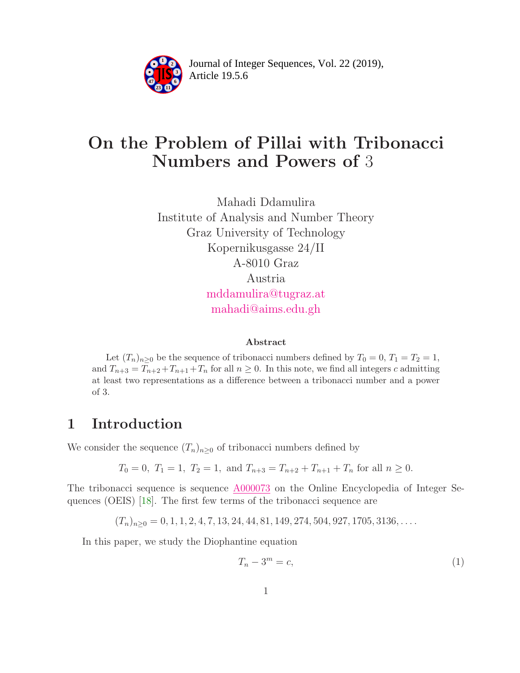

Article 19.5.6 **<sup>2</sup>** Journal of Integer Sequences, Vol. 22 (2019),

# On the Problem of Pillai with Tribonacci Numbers and Powers of 3

Mahadi Ddamulira Institute of Analysis and Number Theory Graz University of Technology Kopernikusgasse 24/II A-8010 Graz Austria [mddamulira@tugraz.at](mailto:mddamulira@tugraz.at) [mahadi@aims.edu.gh](mailto: mahadi@aims.edu.gh)

#### Abstract

Let  $(T_n)_{n\geq 0}$  be the sequence of tribonacci numbers defined by  $T_0 = 0, T_1 = T_2 = 1$ , and  $T_{n+3} = T_{n+2} + T_{n+1} + T_n$  for all  $n \ge 0$ . In this note, we find all integers c admitting at least two representations as a difference between a tribonacci number and a power of 3.

# 1 Introduction

We consider the sequence  $(T_n)_{n>0}$  of tribonacci numbers defined by

$$
T_0 = 0
$$
,  $T_1 = 1$ ,  $T_2 = 1$ , and  $T_{n+3} = T_{n+2} + T_{n+1} + T_n$  for all  $n \ge 0$ .

The tribonacci sequence is sequence [A000073](https://oeis.org/A000073) on the Online Encyclopedia of Integer Sequences (OEIS) [\[18\]](#page-13-0). The first few terms of the tribonacci sequence are

 $(T_n)_{n>0} = 0, 1, 1, 2, 4, 7, 13, 24, 44, 81, 149, 274, 504, 927, 1705, 3136, \ldots$ 

In this paper, we study the Diophantine equation

<span id="page-0-0"></span>
$$
T_n - 3^m = c,\t\t(1)
$$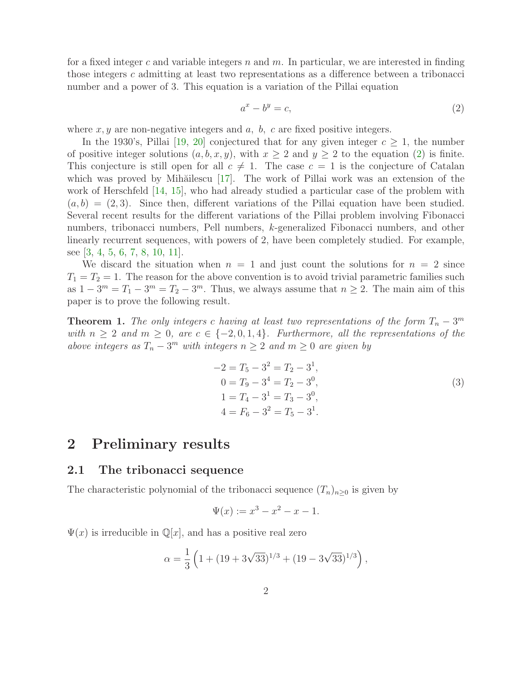for a fixed integer c and variable integers n and  $m$ . In particular, we are interested in finding those integers c admitting at least two representations as a difference between a tribonacci number and a power of 3. This equation is a variation of the Pillai equation

<span id="page-1-0"></span>
$$
a^x - b^y = c,\t\t(2)
$$

where  $x, y$  are non-negative integers and  $a, b, c$  are fixed positive integers.

In the 1930's, Pillai [\[19,](#page-13-1) [20\]](#page-13-2) conjectured that for any given integer  $c \geq 1$ , the number of positive integer solutions  $(a, b, x, y)$ , with  $x \ge 2$  and  $y \ge 2$  to the equation [\(2\)](#page-1-0) is finite. This conjecture is still open for all  $c \neq 1$ . The case  $c = 1$  is the conjecture of Catalan which was proved by Mihăilescu [\[17\]](#page-13-3). The work of Pillai work was an extension of the work of Herschfeld [\[14,](#page-12-0) [15\]](#page-12-1), who had already studied a particular case of the problem with  $(a, b) = (2, 3)$ . Since then, different variations of the Pillai equation have been studied. Several recent results for the different variations of the Pillai problem involving Fibonacci numbers, tribonacci numbers, Pell numbers, k-generalized Fibonacci numbers, and other linearly recurrent sequences, with powers of 2, have been completely studied. For example, see [\[3,](#page-12-2) [4,](#page-12-3) [5,](#page-12-4) [6,](#page-12-5) [7,](#page-12-6) [8,](#page-12-7) [10,](#page-12-8) [11\]](#page-12-9).

We discard the situation when  $n = 1$  and just count the solutions for  $n = 2$  since  $T_1 = T_2 = 1$ . The reason for the above convention is to avoid trivial parametric families such as  $1 - 3^m = T_1 - 3^m = T_2 - 3^m$ . Thus, we always assume that  $n \ge 2$ . The main aim of this paper is to prove the following result.

<span id="page-1-1"></span>**Theorem 1.** The only integers c *having at least two representations of the form*  $T_n - 3^m$ *with*  $n \geq 2$  *and*  $m \geq 0$ *, are*  $c \in \{-2, 0, 1, 4\}$ *. Furthermore, all the representations of the above integers as*  $T_n - 3^m$  *with integers*  $n \geq 2$  *and*  $m \geq 0$  *are given by* 

<span id="page-1-2"></span>
$$
-2 = T_5 - 3^2 = T_2 - 3^1,
$$
  
\n
$$
0 = T_9 - 3^4 = T_2 - 3^0,
$$
  
\n
$$
1 = T_4 - 3^1 = T_3 - 3^0,
$$
  
\n
$$
4 = F_6 - 3^2 = T_5 - 3^1.
$$
\n(3)

### 2 Preliminary results

#### 2.1 The tribonacci sequence

The characteristic polynomial of the tribonacci sequence  $(T_n)_{n>0}$  is given by

$$
\Psi(x) := x^3 - x^2 - x - 1.
$$

 $\Psi(x)$  is irreducible in  $\mathbb{Q}[x]$ , and has a positive real zero

$$
\alpha = \frac{1}{3} \left( 1 + (19 + 3\sqrt{33})^{1/3} + (19 - 3\sqrt{33})^{1/3} \right),
$$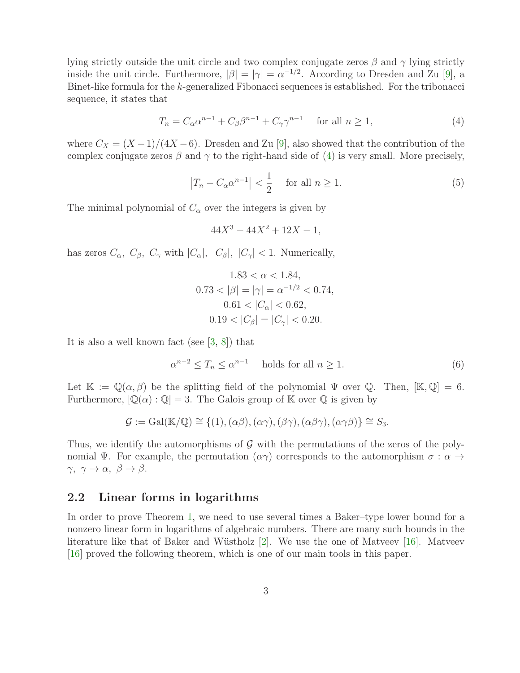lying strictly outside the unit circle and two complex conjugate zeros  $\beta$  and  $\gamma$  lying strictly inside the unit circle. Furthermore,  $|\beta| = |\gamma| = \alpha^{-1/2}$ . According to Dresden and Zu [\[9\]](#page-12-10), a Binet-like formula for the k-generalized Fibonacci sequences is established. For the tribonacci sequence, it states that

$$
T_n = C_\alpha \alpha^{n-1} + C_\beta \beta^{n-1} + C_\gamma \gamma^{n-1} \quad \text{for all } n \ge 1,
$$
 (4)

where  $C_X = (X-1)/(4X-6)$ . Dresden and Zu [\[9\]](#page-12-10), also showed that the contribution of the complex conjugate zeros  $\beta$  and  $\gamma$  to the right-hand side of [\(4\)](#page-2-0) is very small. More precisely,

$$
\left|T_n - C_\alpha \alpha^{n-1}\right| < \frac{1}{2} \quad \text{for all } n \ge 1. \tag{5}
$$

The minimal polynomial of  $C_{\alpha}$  over the integers is given by

<span id="page-2-2"></span><span id="page-2-0"></span>
$$
44X^3 - 44X^2 + 12X - 1,
$$

has zeros  $C_{\alpha}$ ,  $C_{\beta}$ ,  $C_{\gamma}$  with  $|C_{\alpha}|$ ,  $|C_{\beta}|$ ,  $|C_{\gamma}| < 1$ . Numerically,

$$
1.83 < \alpha < 1.84,
$$
\n
$$
0.73 < |\beta| = |\gamma| = \alpha^{-1/2} < 0.74,
$$
\n
$$
0.61 < |C_{\alpha}| < 0.62,
$$
\n
$$
0.19 < |C_{\beta}| = |C_{\gamma}| < 0.20.
$$

It is also a well known fact (see [\[3,](#page-12-2) [8\]](#page-12-7)) that

<span id="page-2-1"></span>
$$
\alpha^{n-2} \le T_n \le \alpha^{n-1} \quad \text{ holds for all } n \ge 1. \tag{6}
$$

Let  $\mathbb{K} := \mathbb{Q}(\alpha, \beta)$  be the splitting field of the polynomial  $\Psi$  over  $\mathbb{Q}$ . Then,  $[\mathbb{K}, \mathbb{Q}] = 6$ . Furthermore,  $[\mathbb{Q}(\alpha):\mathbb{Q}]=3$ . The Galois group of K over  $\mathbb Q$  is given by

$$
\mathcal{G} := \mathrm{Gal}(\mathbb{K}/\mathbb{Q}) \cong \{ (1), (\alpha\beta), (\alpha\gamma), (\beta\gamma), (\alpha\beta\gamma), (\alpha\gamma\beta) \} \cong S_3.
$$

Thus, we identify the automorphisms of  $\mathcal G$  with the permutations of the zeros of the polynomial Ψ. For example, the permutation  $(\alpha \gamma)$  corresponds to the automorphism  $\sigma : \alpha \to$  $\gamma, \gamma \rightarrow \alpha, \ \beta \rightarrow \beta.$ 

#### 2.2 Linear forms in logarithms

In order to prove Theorem [1,](#page-1-1) we need to use several times a Baker–type lower bound for a nonzero linear form in logarithms of algebraic numbers. There are many such bounds in the literature like that of Baker and Wüstholz  $[2]$ . We use the one of Matveev  $[16]$ . Matveev [\[16\]](#page-13-4) proved the following theorem, which is one of our main tools in this paper.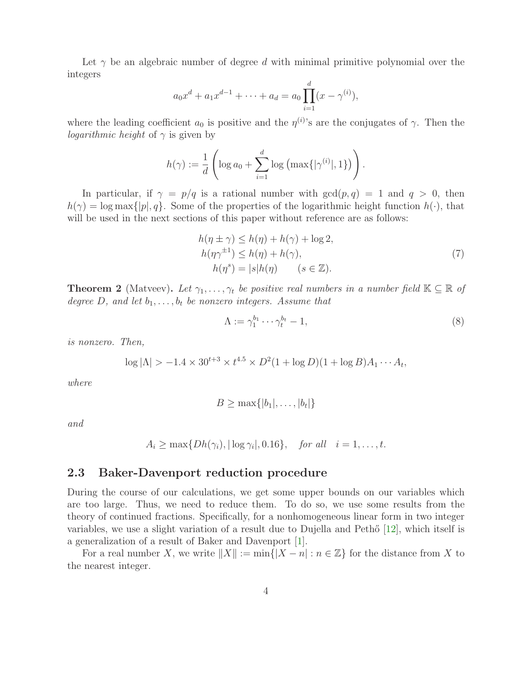Let  $\gamma$  be an algebraic number of degree d with minimal primitive polynomial over the integers

$$
a_0x^d + a_1x^{d-1} + \dots + a_d = a_0 \prod_{i=1}^d (x - \gamma^{(i)}),
$$

where the leading coefficient  $a_0$  is positive and the  $\eta^{(i)}$ 's are the conjugates of  $\gamma$ . Then the *logarithmic height* of  $\gamma$  is given by

$$
h(\gamma) := \frac{1}{d} \left( \log a_0 + \sum_{i=1}^d \log \left( \max \{ |\gamma^{(i)}|, 1 \} \right) \right).
$$

In particular, if  $\gamma = p/q$  is a rational number with  $gcd(p,q) = 1$  and  $q > 0$ , then  $h(\gamma) = \log \max\{|p|, q\}$ . Some of the properties of the logarithmic height function  $h(\cdot)$ , that will be used in the next sections of this paper without reference are as follows:

$$
h(\eta \pm \gamma) \le h(\eta) + h(\gamma) + \log 2,
$$
  
\n
$$
h(\eta \gamma^{\pm 1}) \le h(\eta) + h(\gamma),
$$
  
\n
$$
h(\eta^s) = |s|h(\eta) \qquad (s \in \mathbb{Z}).
$$
\n(7)

<span id="page-3-0"></span>**Theorem 2** (Matveev). Let  $\gamma_1, \ldots, \gamma_t$  be positive real numbers in a number field  $\mathbb{K} \subseteq \mathbb{R}$  of *degree*  $D$ *, and let*  $b_1, \ldots, b_t$  *be nonzero integers. Assume that* 

$$
\Lambda := \gamma_1^{b_1} \cdots \gamma_t^{b_t} - 1,\tag{8}
$$

*is nonzero. Then,*

$$
\log |\Lambda| > -1.4 \times 30^{t+3} \times t^{4.5} \times D^2 (1 + \log D)(1 + \log B) A_1 \cdots A_t,
$$

*where*

$$
B \geq \max\{|b_1|,\ldots,|b_t|\}
$$

*and*

$$
A_i \ge \max\{Dh(\gamma_i), |\log \gamma_i|, 0.16\}, \quad \text{for all} \quad i = 1, \dots, t.
$$

#### 2.3 Baker-Davenport reduction procedure

During the course of our calculations, we get some upper bounds on our variables which are too large. Thus, we need to reduce them. To do so, we use some results from the theory of continued fractions. Specifically, for a nonhomogeneous linear form in two integer variables, we use a slight variation of a result due to Dujella and Peth $\delta$  [\[12\]](#page-12-12), which itself is a generalization of a result of Baker and Davenport [\[1\]](#page-12-13).

For a real number X, we write  $||X|| := \min\{|X - n| : n \in \mathbb{Z}\}\)$  for the distance from X to the nearest integer.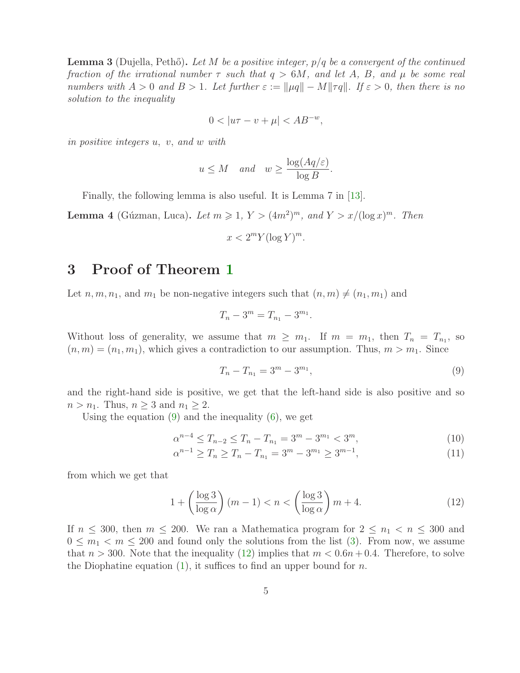<span id="page-4-4"></span>Lemma 3 (Dujella, Peth˝o). *Let* M *be a positive integer,* p/q *be a convergent of the continued fraction of the irrational number* τ *such that* q > 6M*, and let* A*,* B*, and* µ *be some real numbers with*  $A > 0$  *and*  $B > 1$ *. Let further*  $\varepsilon := ||\mu q|| - M||\tau q||$ *. If*  $\varepsilon > 0$ *, then there is no solution to the inequality*

$$
0<|u\tau-v+\mu|
$$

*in positive integers* u, v, *and* w *with*

$$
u \leq M
$$
 and  $w \geq \frac{\log(Aq/\varepsilon)}{\log B}$ .

Finally, the following lemma is also useful. It is Lemma 7 in [\[13\]](#page-12-14).

<span id="page-4-3"></span>**Lemma 4** (Gúzman, Luca). Let  $m \geq 1$ ,  $Y > (4m^2)^m$ , and  $Y > x/(\log x)^m$ . Then

$$
x < 2^m Y (\log Y)^m.
$$

### 3 Proof of Theorem [1](#page-1-1)

Let  $n, m, n_1$ , and  $m_1$  be non-negative integers such that  $(n, m) \neq (n_1, m_1)$  and

$$
T_n - 3^m = T_{n_1} - 3^{m_1}.
$$

Without loss of generality, we assume that  $m \geq m_1$ . If  $m = m_1$ , then  $T_n = T_{n_1}$ , so  $(n, m) = (n_1, m_1)$ , which gives a contradiction to our assumption. Thus,  $m > m_1$ . Since

<span id="page-4-2"></span><span id="page-4-1"></span><span id="page-4-0"></span>
$$
T_n - T_{n_1} = 3^m - 3^{m_1},\tag{9}
$$

and the right-hand side is positive, we get that the left-hand side is also positive and so  $n > n_1$ . Thus,  $n \geq 3$  and  $n_1 \geq 2$ .

Using the equation  $(9)$  and the inequality  $(6)$ , we get

$$
\alpha^{n-4} \le T_{n-2} \le T_n - T_{n_1} = 3^m - 3^{m_1} < 3^m,\tag{10}
$$

$$
\alpha^{n-1} \ge T_n \ge T_n - T_{n_1} = 3^m - 3^{m_1} \ge 3^{m-1},\tag{11}
$$

from which we get that

$$
1 + \left(\frac{\log 3}{\log \alpha}\right)(m-1) < n < \left(\frac{\log 3}{\log \alpha}\right)m + 4. \tag{12}
$$

If  $n \leq 300$ , then  $m \leq 200$ . We ran a Mathematica program for  $2 \leq n_1 < n \leq 300$  and  $0 \leq m_1 < m \leq 200$  and found only the solutions from the list [\(3\)](#page-1-2). From now, we assume that  $n > 300$ . Note that the inequality [\(12\)](#page-4-1) implies that  $m < 0.6n + 0.4$ . Therefore, to solve the Diophatine equation [\(1\)](#page-0-0), it suffices to find an upper bound for n.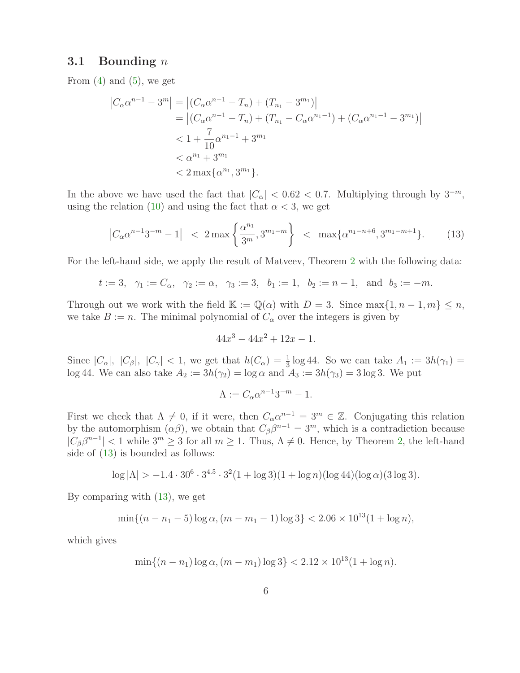#### 3.1 Bounding  $n$

From  $(4)$  and  $(5)$ , we get

$$
\begin{aligned} \left|C_{\alpha}\alpha^{n-1} - 3^{m}\right| &= \left| \left(C_{\alpha}\alpha^{n-1} - T_{n}\right) + \left(T_{n_{1}} - 3^{m_{1}}\right)\right| \\ &= \left| \left(C_{\alpha}\alpha^{n-1} - T_{n}\right) + \left(T_{n_{1}} - C_{\alpha}\alpha^{n_{1}-1}\right) + \left(C_{\alpha}\alpha^{n_{1}-1} - 3^{m_{1}}\right)\right| \\ &< 1 + \frac{7}{10}\alpha^{n_{1}-1} + 3^{m_{1}} \\ &< \alpha^{n_{1}} + 3^{m_{1}} \\ &< 2\max\{\alpha^{n_{1}}, 3^{m_{1}}\}. \end{aligned}
$$

In the above we have used the fact that  $|C_{\alpha}| < 0.62 < 0.7$ . Multiplying through by  $3^{-m}$ , using the relation [\(10\)](#page-4-2) and using the fact that  $\alpha < 3$ , we get

$$
\left|C_{\alpha}\alpha^{n-1}3^{-m}-1\right| < 2\max\left\{\frac{\alpha^{n_1}}{3^m},3^{m_1-m}\right\} < \max\{\alpha^{n_1-n+6},3^{m_1-m+1}\}.\tag{13}
$$

For the left-hand side, we apply the result of Matveev, Theorem [2](#page-3-0) with the following data:

$$
t := 3
$$
,  $\gamma_1 := C_\alpha$ ,  $\gamma_2 := \alpha$ ,  $\gamma_3 := 3$ ,  $b_1 := 1$ ,  $b_2 := n - 1$ , and  $b_3 := -m$ .

Through out we work with the field  $\mathbb{K} := \mathbb{Q}(\alpha)$  with  $D = 3$ . Since max $\{1, n-1, m\} \leq n$ , we take  $B := n$ . The minimal polynomial of  $C_{\alpha}$  over the integers is given by

<span id="page-5-0"></span>
$$
44x^3 - 44x^2 + 12x - 1.
$$

Since  $|C_{\alpha}|, |C_{\beta}|, |C_{\gamma}| < 1$ , we get that  $h(C_{\alpha}) = \frac{1}{3} \log 44$ . So we can take  $A_1 := 3h(\gamma_1) =$ log 44. We can also take  $A_2 := 3h(\gamma_2) = \log \alpha$  and  $A_3 := 3h(\gamma_3) = 3 \log 3$ . We put

$$
\Lambda := C_{\alpha} \alpha^{n-1} 3^{-m} - 1.
$$

First we check that  $\Lambda \neq 0$ , if it were, then  $C_{\alpha} \alpha^{n-1} = 3^m \in \mathbb{Z}$ . Conjugating this relation by the automorphism  $(\alpha\beta)$ , we obtain that  $C_{\beta}\beta^{n-1} = 3^m$ , which is a contradiction because  $|C_{\beta}\beta^{n-1}| < 1$  while  $3^m \ge 3$  for all  $m \ge 1$ . Thus,  $\Lambda \ne 0$ . Hence, by Theorem [2,](#page-3-0) the left-hand side of [\(13\)](#page-5-0) is bounded as follows:

$$
\log |\Lambda| > -1.4 \cdot 30^{6} \cdot 3^{4.5} \cdot 3^{2} (1 + \log 3)(1 + \log n)(\log 44)(\log \alpha)(3 \log 3).
$$

By comparing with [\(13\)](#page-5-0), we get

$$
\min\{(n - n_1 - 5)\log\alpha, (m - m_1 - 1)\log 3\} < 2.06 \times 10^{13} (1 + \log n),
$$

which gives

$$
\min\{(n - n_1)\log\alpha, (m - m_1)\log 3\} < 2.12 \times 10^{13} (1 + \log n).
$$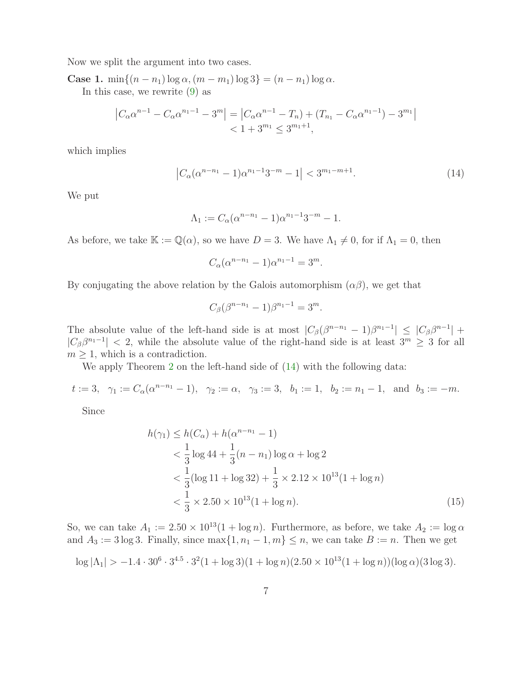Now we split the argument into two cases.

Case 1. min $\{(n - n_1) \log \alpha, (m - m_1) \log 3\} = (n - n_1) \log \alpha$ . In this case, we rewrite [\(9\)](#page-4-0) as

$$
\left|C_{\alpha}\alpha^{n-1} - C_{\alpha}\alpha^{n-1} - 3^{m}\right| = \left|C_{\alpha}\alpha^{n-1} - T_{n}\right| + \left(T_{n_{1}} - C_{\alpha}\alpha^{n-1}\right) - 3^{m_{1}}|
$$
  
< 1 + 3<sup>m\_{1</sup> \le 3<sup>m\_{1}+1</sup>,

which implies

$$
\left|C_{\alpha}(\alpha^{n-n_1}-1)\alpha^{n_1-1}3^{-m}-1\right|<3^{m_1-m+1}.\tag{14}
$$

We put

$$
\Lambda_1 := C_{\alpha} (\alpha^{n-n_1} - 1) \alpha^{n_1 - 1} 3^{-m} - 1.
$$

As before, we take  $\mathbb{K} := \mathbb{Q}(\alpha)$ , so we have  $D = 3$ . We have  $\Lambda_1 \neq 0$ , for if  $\Lambda_1 = 0$ , then

<span id="page-6-0"></span>
$$
C_{\alpha}(\alpha^{n-n_1} - 1)\alpha^{n_1 - 1} = 3^m.
$$

By conjugating the above relation by the Galois automorphism  $(\alpha\beta)$ , we get that

<span id="page-6-1"></span>
$$
C_{\beta}(\beta^{n-n_1} - 1)\beta^{n_1 - 1} = 3^m.
$$

The absolute value of the left-hand side is at most  $|C_\beta(\beta^{n-n_1}-1)\beta^{n_1-1}| \leq |C_\beta\beta^{n-1}| +$  $|C_{\beta}\beta^{n_1-1}| < 2$ , while the absolute value of the right-hand side is at least  $3^m \geq 3$  for all  $m \geq 1$ , which is a contradiction.

We apply Theorem [2](#page-3-0) on the left-hand side of  $(14)$  with the following data:

$$
t := 3
$$
,  $\gamma_1 := C_{\alpha}(\alpha^{n-n_1} - 1)$ ,  $\gamma_2 := \alpha$ ,  $\gamma_3 := 3$ ,  $b_1 := 1$ ,  $b_2 := n_1 - 1$ , and  $b_3 := -m$ .

Since

$$
h(\gamma_1) \le h(C_\alpha) + h(\alpha^{n-n_1} - 1)
$$
  

$$
< \frac{1}{3} \log 44 + \frac{1}{3} (n - n_1) \log \alpha + \log 2
$$
  

$$
< \frac{1}{3} (\log 11 + \log 32) + \frac{1}{3} \times 2.12 \times 10^{13} (1 + \log n)
$$
  

$$
< \frac{1}{3} \times 2.50 \times 10^{13} (1 + \log n).
$$
 (15)

So, we can take  $A_1 := 2.50 \times 10^{13} (1 + \log n)$ . Furthermore, as before, we take  $A_2 := \log \alpha$ and  $A_3 := 3 \log 3$ . Finally, since  $\max\{1, n_1 - 1, m\} \le n$ , we can take  $B := n$ . Then we get

$$
\log |\Lambda_1| > -1.4 \cdot 30^6 \cdot 3^{4.5} \cdot 3^2 (1 + \log 3)(1 + \log n)(2.50 \times 10^{13} (1 + \log n))(\log \alpha)(3 \log 3).
$$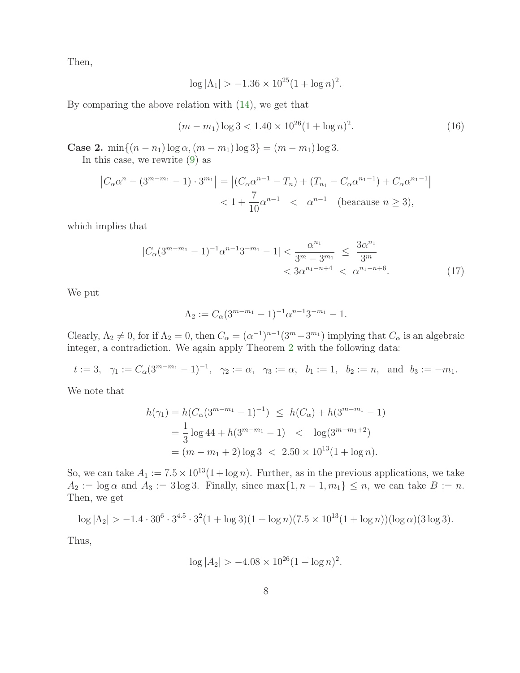Then,

$$
\log |\Lambda_1| > -1.36 \times 10^{25} (1 + \log n)^2.
$$

By comparing the above relation with  $(14)$ , we get that

$$
(m - m_1) \log 3 < 1.40 \times 10^{26} (1 + \log n)^2. \tag{16}
$$

Case 2. min $\{(n - n_1) \log \alpha, (m - m_1) \log 3\} = (m - m_1) \log 3$ .

In this case, we rewrite [\(9\)](#page-4-0) as

$$
\left|C_{\alpha}\alpha^{n} - (3^{m-m_{1}} - 1) \cdot 3^{m_{1}}\right| = \left| (C_{\alpha}\alpha^{n-1} - T_{n}) + (T_{n_{1}} - C_{\alpha}\alpha^{n_{1}-1}) + C_{\alpha}\alpha^{n_{1}-1} \right|
$$
  
<  $1 + \frac{7}{10}\alpha^{n-1} < \alpha^{n-1}$  (because  $n \ge 3$ ),

which implies that

$$
|C_{\alpha}(3^{m-m_1}-1)^{-1}\alpha^{n-1}3^{-m_1}-1| < \frac{\alpha^{n_1}}{3^m-3^{m_1}} \le \frac{3\alpha^{n_1}}{3^m} < 3\alpha^{n_1-n+4} < \alpha^{n_1-n+6}.
$$
 (17)

We put

<span id="page-7-0"></span>
$$
\Lambda_2 := C_{\alpha} (3^{m-m_1} - 1)^{-1} \alpha^{n-1} 3^{-m_1} - 1.
$$

Clearly,  $\Lambda_2 \neq 0$ , for if  $\Lambda_2 = 0$ , then  $C_{\alpha} = (\alpha^{-1})^{n-1}(3^m - 3^m)$  implying that  $C_{\alpha}$  is an algebraic integer, a contradiction. We again apply Theorem [2](#page-3-0) with the following data:

 $t := 3, \ \ \gamma_1 := C_\alpha (3^{m-m_1} - 1)^{-1}, \ \ \gamma_2 := \alpha, \ \ \gamma_3 := \alpha, \ \ b_1 := 1, \ \ b_2 := n, \ \text{ and } \ b_3 := -m_1.$ 

We note that

$$
h(\gamma_1) = h(C_\alpha (3^{m-m_1} - 1)^{-1}) \le h(C_\alpha) + h(3^{m-m_1} - 1)
$$
  
=  $\frac{1}{3} \log 44 + h(3^{m-m_1} - 1) < \log(3^{m-m_1+2})$   
=  $(m - m_1 + 2) \log 3 < 2.50 \times 10^{13} (1 + \log n).$ 

So, we can take  $A_1 := 7.5 \times 10^{13} (1 + \log n)$ . Further, as in the previous applications, we take  $A_2 := \log \alpha$  and  $A_3 := 3 \log 3$ . Finally, since  $\max\{1, n-1, m_1\} \leq n$ , we can take  $B := n$ . Then, we get

$$
\log |\Lambda_2| > -1.4 \cdot 30^6 \cdot 3^{4.5} \cdot 3^2 (1 + \log 3)(1 + \log n)(7.5 \times 10^{13} (1 + \log n))(\log \alpha)(3 \log 3).
$$

Thus,

$$
\log |A_2| > -4.08 \times 10^{26} (1 + \log n)^2.
$$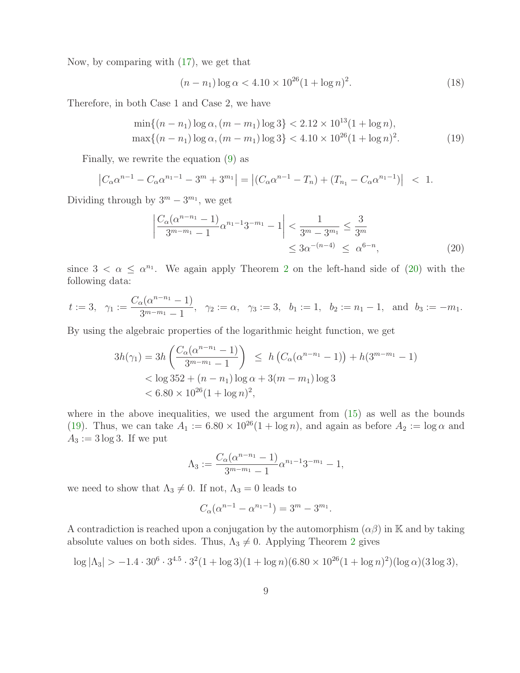Now, by comparing with [\(17\)](#page-7-0), we get that

<span id="page-8-1"></span>
$$
(n - n_1) \log \alpha < 4.10 \times 10^{26} (1 + \log n)^2. \tag{18}
$$

Therefore, in both Case 1 and Case 2, we have

$$
\min\{(n - n_1)\log\alpha, (m - m_1)\log 3\} < 2.12 \times 10^{13} (1 + \log n),
$$
\n
$$
\max\{(n - n_1)\log\alpha, (m - m_1)\log 3\} < 4.10 \times 10^{26} (1 + \log n)^2. \tag{19}
$$

Finally, we rewrite the equation [\(9\)](#page-4-0) as

$$
\left|C_{\alpha}\alpha^{n-1} - C_{\alpha}\alpha^{n-1} - 3^m + 3^{m_1}\right| = \left| (C_{\alpha}\alpha^{n-1} - T_n) + (T_{n_1} - C_{\alpha}\alpha^{n_1-1}) \right| < 1.
$$

Dividing through by  $3^m - 3^{m_1}$ , we get

<span id="page-8-0"></span>
$$
\left| \frac{C_{\alpha}(\alpha^{n-n_1} - 1)}{3^{m-m_1} - 1} \alpha^{n_1 - 1} 3^{-m_1} - 1 \right| < \frac{1}{3^m - 3^{m_1}} \le \frac{3}{3^m}
$$
  

$$
\le 3\alpha^{-(n-4)} \le \alpha^{6-n}, \tag{20}
$$

since  $3 < \alpha \leq \alpha^{n_1}$ . We again apply Theorem [2](#page-3-0) on the left-hand side of [\(20\)](#page-8-0) with the following data:

$$
t := 3
$$
,  $\gamma_1 := \frac{C_{\alpha}(\alpha^{n-n_1} - 1)}{3^{m-m_1} - 1}$ ,  $\gamma_2 := \alpha$ ,  $\gamma_3 := 3$ ,  $b_1 := 1$ ,  $b_2 := n_1 - 1$ , and  $b_3 := -m_1$ .

By using the algebraic properties of the logarithmic height function, we get

$$
3h(\gamma_1) = 3h\left(\frac{C_{\alpha}(\alpha^{n-n_1}-1)}{3^{m-m_1}-1}\right) \le h\left(C_{\alpha}(\alpha^{n-n_1}-1)\right) + h(3^{m-m_1}-1)
$$
  

$$
< \log 352 + (n-n_1)\log \alpha + 3(m-m_1)\log 3
$$
  

$$
< 6.80 \times 10^{26}(1+\log n)^2,
$$

where in the above inequalities, we used the argument from  $(15)$  as well as the bounds [\(19\)](#page-8-1). Thus, we can take  $A_1 := 6.80 \times 10^{26} (1 + \log n)$ , and again as before  $A_2 := \log \alpha$  and  $A_3 := 3 \log 3$ . If we put

$$
\Lambda_3 := \frac{C_{\alpha}(\alpha^{n-n_1} - 1)}{3^{m-m_1} - 1} \alpha^{n_1 - 1} 3^{-m_1} - 1,
$$

we need to show that  $\Lambda_3 \neq 0$ . If not,  $\Lambda_3 = 0$  leads to

$$
C_{\alpha}(\alpha^{n-1} - \alpha^{n-1}) = 3^m - 3^{m}.
$$

A contradiction is reached upon a conjugation by the automorphism  $(\alpha \beta)$  in K and by taking absolute values on both sides. Thus,  $\Lambda_3 \neq 0$ . Applying Theorem [2](#page-3-0) gives

$$
\log |\Lambda_3| > -1.4 \cdot 30^6 \cdot 3^{4.5} \cdot 3^2 (1 + \log 3)(1 + \log n)(6.80 \times 10^{26} (1 + \log n)^2)(\log \alpha)(3 \log 3),
$$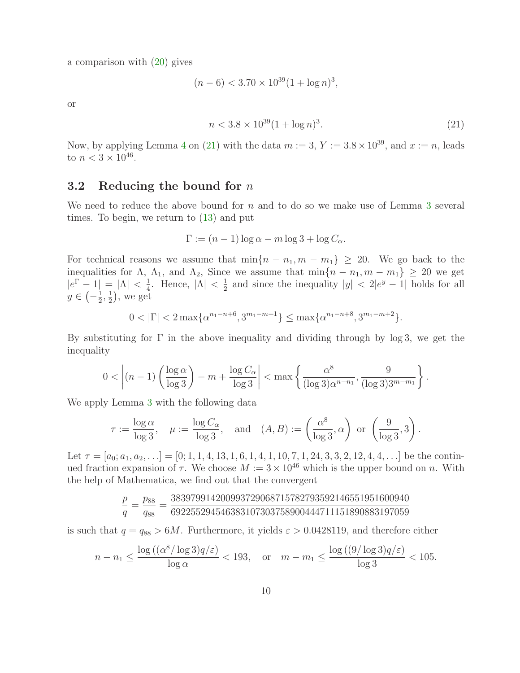a comparison with [\(20\)](#page-8-0) gives

$$
(n-6) < 3.70 \times 10^{39} (1 + \log n)^3
$$

or

<span id="page-9-0"></span>
$$
n < 3.8 \times 10^{39} (1 + \log n)^3. \tag{21}
$$

Now, by applying Lemma [4](#page-4-3) on [\(21\)](#page-9-0) with the data  $m := 3$ ,  $Y := 3.8 \times 10^{39}$ , and  $x := n$ , leads to  $n < 3 \times 10^{46}$ .

#### 3.2 Reducing the bound for  $n$

We need to reduce the above bound for  $n$  and to do so we make use of Lemma [3](#page-4-4) several times. To begin, we return to [\(13\)](#page-5-0) and put

$$
\Gamma := (n-1)\log \alpha - m \log 3 + \log C_{\alpha}.
$$

For technical reasons we assume that  $\min\{n - n_1, m - m_1\} \geq 20$ . We go back to the inequalities for  $\Lambda$ ,  $\Lambda_1$ , and  $\Lambda_2$ , Since we assume that  $\min\{n - n_1, m - m_1\} \geq 20$  we get  $|e^{\Gamma} - 1| = |\Lambda| < \frac{1}{4}$ . Hence,  $|\Lambda| < \frac{1}{2}$  $y \in \left(-\frac{1}{2}, \frac{1}{2}\right)$ , we get  $\frac{1}{2}$  and since the inequality  $|y| < 2|e^y - 1|$  holds for all  $\frac{1}{2}, \frac{1}{2}$  $(\frac{1}{2})$ , we get

$$
0 < |\Gamma| < 2 \max \{ \alpha^{n_1 - n + 6}, 3^{m_1 - m + 1} \} \le \max \{ \alpha^{n_1 - n + 8}, 3^{m_1 - m + 2} \}.
$$

By substituting for  $\Gamma$  in the above inequality and dividing through by log 3, we get the inequality

$$
0 < \left| (n-1) \left( \frac{\log \alpha}{\log 3} \right) - m + \frac{\log C_{\alpha}}{\log 3} \right| < \max \left\{ \frac{\alpha^8}{(\log 3)\alpha^{n-n_1}}, \frac{9}{(\log 3)3^{m-m_1}} \right\}.
$$

We apply Lemma [3](#page-4-4) with the following data

$$
\tau := \frac{\log \alpha}{\log 3}, \quad \mu := \frac{\log C_{\alpha}}{\log 3}, \quad \text{and} \quad (A, B) := \left(\frac{\alpha^8}{\log 3}, \alpha\right) \text{ or } \left(\frac{9}{\log 3}, 3\right).
$$

Let  $\tau = [a_0; a_1, a_2, \ldots] = [0; 1, 1, 4, 13, 1, 6, 1, 4, 1, 10, 7, 1, 24, 3, 3, 2, 12, 4, 4, \ldots]$  be the continued fraction expansion of  $\tau$ . We choose  $M := 3 \times 10^{46}$  which is the upper bound on n. With the help of Mathematica, we find out that the convergent

$$
\frac{p}{q}=\frac{p_{88}}{q_{88}}=\frac{383979914200993729068715782793592146551951600940}{692255294546383107303758900444711151890883197059}
$$

is such that  $q = q_{88} > 6M$ . Furthermore, it yields  $\varepsilon > 0.0428119$ , and therefore either

$$
n - n_1 \le \frac{\log\left((\alpha^8/\log 3)q/\varepsilon\right)}{\log \alpha} < 193, \quad \text{or} \quad m - m_1 \le \frac{\log\left((9/\log 3)q/\varepsilon\right)}{\log 3} < 105.
$$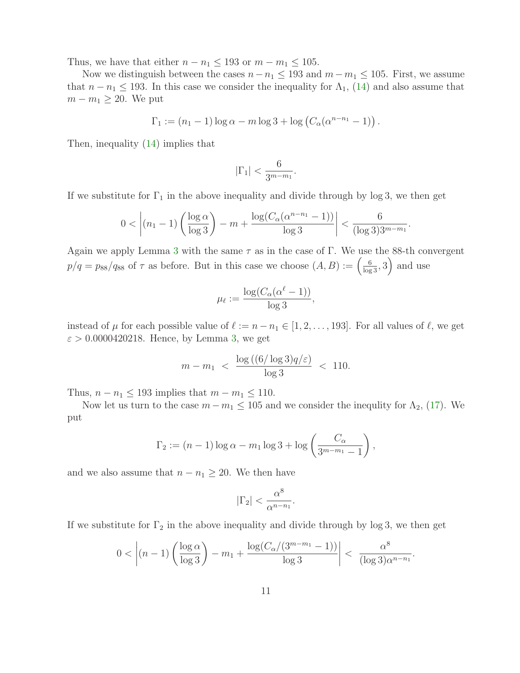Thus, we have that either  $n - n_1 \leq 193$  or  $m - m_1 \leq 105$ .

Now we distinguish between the cases  $n-n_1 \leq 193$  and  $m-m_1 \leq 105$ . First, we assume that  $n - n_1 \le 193$ . In this case we consider the inequality for  $\Lambda_1$ , [\(14\)](#page-6-0) and also assume that  $m - m_1 \geq 20$ . We put

$$
\Gamma_1 := (n_1 - 1) \log \alpha - m \log 3 + \log \left( C_{\alpha} (\alpha^{n-n_1} - 1) \right).
$$

Then, inequality [\(14\)](#page-6-0) implies that

$$
|\Gamma_1| < \frac{6}{3^{m-m_1}}.
$$

If we substitute for  $\Gamma_1$  in the above inequality and divide through by log 3, we then get

$$
0 < \left| (n_1 - 1) \left( \frac{\log \alpha}{\log 3} \right) - m + \frac{\log (C_{\alpha} (\alpha^{n-n_1} - 1))}{\log 3} \right| < \frac{6}{(\log 3)3^{m-m_1}}.
$$

Again we apply Lemma [3](#page-4-4) with the same  $\tau$  as in the case of Γ. We use the 88-th convergent  $p/q = p_{88}/q_{88}$  of  $\tau$  as before. But in this case we choose  $(A, B) := \left(\frac{6}{\log 3}, 3\right)$  and use

$$
\mu_{\ell} := \frac{\log(C_{\alpha}(\alpha^{\ell} - 1))}{\log 3},
$$

instead of  $\mu$  for each possible value of  $\ell := n - n_1 \in [1, 2, \ldots, 193]$ . For all values of  $\ell$ , we get  $\varepsilon > 0.0000420218$ . Hence, by Lemma [3,](#page-4-4) we get

$$
m - m_1 \ < \ \frac{\log\left((6/\log 3)q/\varepsilon\right)}{\log 3} \ < \ 110.
$$

Thus,  $n - n_1 \leq 193$  implies that  $m - m_1 \leq 110$ .

Now let us turn to the case  $m - m_1 \leq 105$  and we consider the inequlity for  $\Lambda_2$ , [\(17\)](#page-7-0). We put

$$
\Gamma_2 := (n-1)\log\alpha - m_1\log 3 + \log\left(\frac{C_{\alpha}}{3^{m-m_1}-1}\right),
$$

and we also assume that  $n - n_1 \geq 20$ . We then have

$$
|\Gamma_2| < \frac{\alpha^8}{\alpha^{n-n_1}}.
$$

If we substitute for  $\Gamma_2$  in the above inequality and divide through by log 3, we then get

$$
0 < \left| (n-1) \left( \frac{\log \alpha}{\log 3} \right) - m_1 + \frac{\log (C_{\alpha}/(3^{m-m_1} - 1))}{\log 3} \right| < \frac{\alpha^8}{(\log 3)\alpha^{n-n_1}}.
$$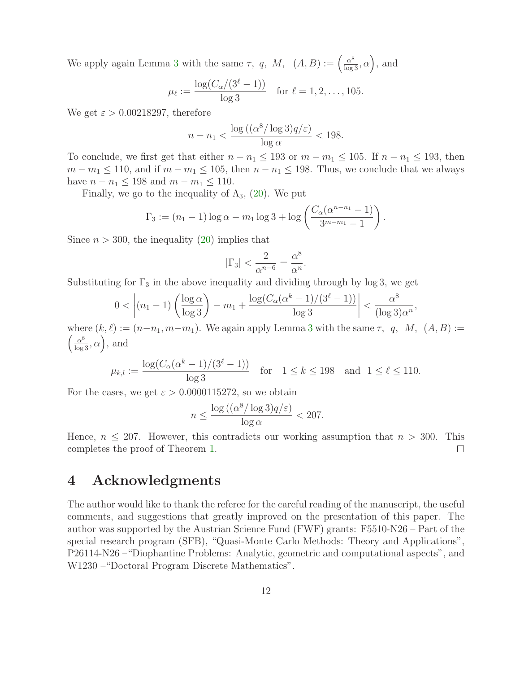We apply again Lemma [3](#page-4-4) with the same  $\tau$ , q,  $M$ ,  $(A, B) := \left(\frac{\alpha^8}{\log 3}, \alpha\right)$ , and

$$
\mu_{\ell} := \frac{\log(C_{\alpha}/(3^{\ell}-1))}{\log 3}
$$
 for  $\ell = 1, 2, ..., 105$ .

We get  $\varepsilon > 0.00218297$ , therefore

$$
n - n_1 < \frac{\log\left((\alpha^8/\log 3)q/\varepsilon\right)}{\log \alpha} < 198.
$$

To conclude, we first get that either  $n - n_1 \leq 193$  or  $m - m_1 \leq 105$ . If  $n - n_1 \leq 193$ , then  $m - m_1 \le 110$ , and if  $m - m_1 \le 105$ , then  $n - n_1 \le 198$ . Thus, we conclude that we always have  $n - n_1 \le 198$  and  $m - m_1 \le 110$ .

Finally, we go to the inequality of  $\Lambda_3$ , [\(20\)](#page-8-0). We put

$$
\Gamma_3 := (n_1 - 1) \log \alpha - m_1 \log 3 + \log \left( \frac{C_{\alpha}(\alpha^{n-n_1} - 1)}{3^{m-m_1} - 1} \right).
$$

Since  $n > 300$ , the inequality [\(20\)](#page-8-0) implies that

$$
|\Gamma_3| < \frac{2}{\alpha^{n-6}} = \frac{\alpha^8}{\alpha^n}
$$

.

Substituting for  $\Gamma_3$  in the above inequality and dividing through by log 3, we get

$$
0 < \left| (n_1 - 1) \left( \frac{\log \alpha}{\log 3} \right) - m_1 + \frac{\log (C_\alpha (\alpha^k - 1)/(3^\ell - 1))}{\log 3} \right| < \frac{\alpha^8}{(\log 3)\alpha^n},
$$

 $\left(\frac{\alpha^8}{\log 3}, \alpha\right)$ , and where  $(k, \ell) := (n-n_1, m-m_1)$ . We again apply Lemma [3](#page-4-4) with the same  $\tau$ , q, M,  $(A, B) :=$ 

$$
\mu_{k,l} := \frac{\log(C_{\alpha}(\alpha^k - 1)/(3^{\ell} - 1))}{\log 3} \quad \text{for} \quad 1 \le k \le 198 \quad \text{and} \quad 1 \le \ell \le 110.
$$

For the cases, we get  $\varepsilon > 0.0000115272$ , so we obtain

$$
n \le \frac{\log\left((\alpha^8/\log 3)q/\varepsilon\right)}{\log \alpha} < 207.
$$

Hence,  $n \leq 207$ . However, this contradicts our working assumption that  $n > 300$ . This completes the proof of Theorem 1. completes the proof of Theorem [1.](#page-1-1)

### 4 Acknowledgments

The author would like to thank the referee for the careful reading of the manuscript, the useful comments, and suggestions that greatly improved on the presentation of this paper. The author was supported by the Austrian Science Fund (FWF) grants: F5510-N26 – Part of the special research program (SFB), "Quasi-Monte Carlo Methods: Theory and Applications", P26114-N26 –"Diophantine Problems: Analytic, geometric and computational aspects", and W1230 –"Doctoral Program Discrete Mathematics".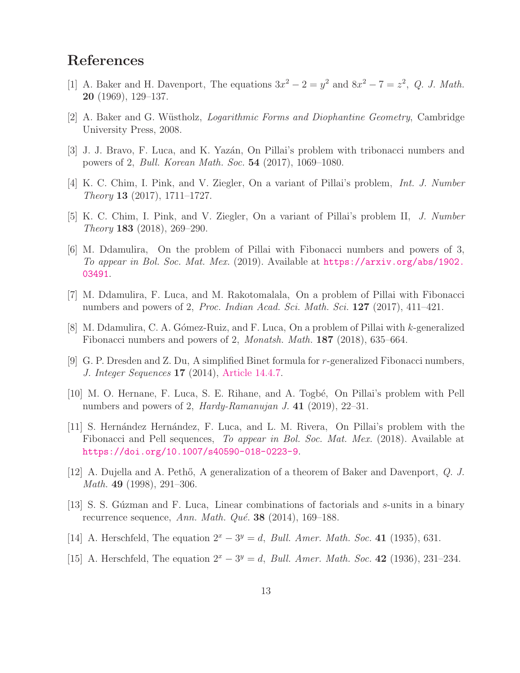## <span id="page-12-13"></span>References

- <span id="page-12-11"></span>[1] A. Baker and H. Davenport, The equations  $3x^2 - 2 = y^2$  and  $8x^2 - 7 = z^2$ , *Q. J. Math.* 20 (1969), 129–137.
- <span id="page-12-2"></span>[2] A. Baker and G. W¨ustholz, *Logarithmic Forms and Diophantine Geometry*, Cambridge University Press, 2008.
- <span id="page-12-3"></span>[3] J. J. Bravo, F. Luca, and K. Yazán, On Pillai's problem with tribonacci numbers and powers of 2, *Bull. Korean Math. Soc.* 54 (2017), 1069–1080.
- <span id="page-12-4"></span>[4] K. C. Chim, I. Pink, and V. Ziegler, On a variant of Pillai's problem, *Int. J. Number Theory* 13 (2017), 1711–1727.
- <span id="page-12-5"></span>[5] K. C. Chim, I. Pink, and V. Ziegler, On a variant of Pillai's problem II, *J. Number Theory* 183 (2018), 269–290.
- [6] M. Ddamulira, On the problem of Pillai with Fibonacci numbers and powers of 3, *To appear in Bol. Soc. Mat. Mex.* (2019). Available at [https://arxiv.org/abs/1902.](https://arxiv.org/abs/1902.03491) [03491](https://arxiv.org/abs/1902.03491).
- <span id="page-12-6"></span>[7] M. Ddamulira, F. Luca, and M. Rakotomalala, On a problem of Pillai with Fibonacci numbers and powers of 2, *Proc. Indian Acad. Sci. Math. Sci.* 127 (2017), 411–421.
- <span id="page-12-7"></span>[8] M. Ddamulira, C. A. G´omez-Ruiz, and F. Luca, On a problem of Pillai with k-generalized Fibonacci numbers and powers of 2, *Monatsh. Math.* 187 (2018), 635–664.
- <span id="page-12-10"></span>[9] G. P. Dresden and Z. Du, A simplified Binet formula for r-generalized Fibonacci numbers, *J. Integer Sequences* 17 (2014), [Article 14.4.7.](https://cs.uwaterloo.ca/journals/JIS/VOL17/Dresden/dresden6.html)
- <span id="page-12-8"></span>[10] M. O. Hernane, F. Luca, S. E. Rihane, and A. Togbé, On Pillai's problem with Pell numbers and powers of 2, *Hardy-Ramanujan J.* 41 (2019), 22–31.
- <span id="page-12-9"></span>[11] S. Hern´andez Hern´andez, F. Luca, and L. M. Rivera, On Pillai's problem with the Fibonacci and Pell sequences, *To appear in Bol. Soc. Mat. Mex.* (2018). Available at [https://doi.org/10.1007/s40590-018-0223-9]( https://doi.org/10.1007/s40590-018-0223-9).
- <span id="page-12-14"></span><span id="page-12-12"></span>[12] A. Dujella and A. Peth˝o, A generalization of a theorem of Baker and Davenport, *Q. J. Math.* 49 (1998), 291–306.
- [13] S. S. Gúzman and F. Luca, Linear combinations of factorials and s-units in a binary recurrence sequence, *Ann. Math. Qué.* **38** (2014), 169–188.
- <span id="page-12-1"></span><span id="page-12-0"></span>[14] A. Herschfeld, The equation  $2^x - 3^y = d$ , *Bull. Amer. Math. Soc.* 41 (1935), 631.
- [15] A. Herschfeld, The equation  $2^x 3^y = d$ , *Bull. Amer. Math. Soc.* 42 (1936), 231–234.